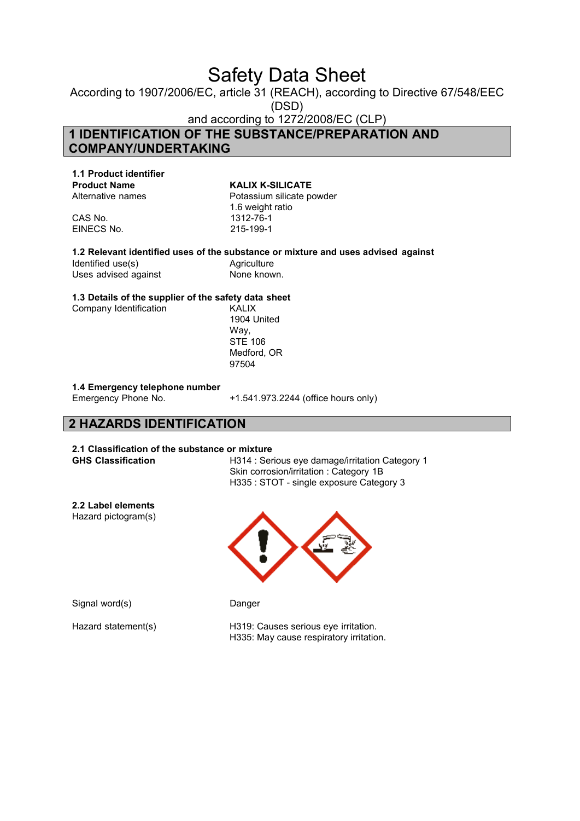# Safety Data Sheet

According to 1907/2006/EC, article 31 (REACH), according to Directive 67/548/EEC

(DSD)

and according to 1272/2008/EC (CLP)

**1 IDENTIFICATION OF THE SUBSTANCE/PREPARATION AND COMPANY/UNDERTAKING**

# **1.1 Product identifier**

**Product Name**<br>Alternative names<br>Potassium silicate po

CAS No. 1312-76-1<br>EINECS No. 1312-76-1 EINECS No.

Potassium silicate powder 1.6 weight ratio

# **1.2 Relevant identified uses of the substance or mixture and uses advised against**

Identified use(s) <br>
Uses advised against 
Uses advised against 
Uses advised against 
None known. Uses advised against

# **1.3 Details of the supplier of the safety data sheet**

Company Identification

1904 United Way, STE 106 Medford, OR 97504

# **1.4 Emergency telephone number**

+1.541.973.2244 (office hours only)

## **2 HAZARDS IDENTIFICATION**

#### **2.1 Classification of the substance or mixture**

**GHS Classification** H314 : Serious eye damage/irritation Category 1 Skin corrosion/irritation : Category 1B H335 : STOT - single exposure Category 3

**2.2 Label elements** Hazard pictogram(s)



Signal word(s) Danger

Hazard statement(s) H319: Causes serious eye irritation. H335: May cause respiratory irritation.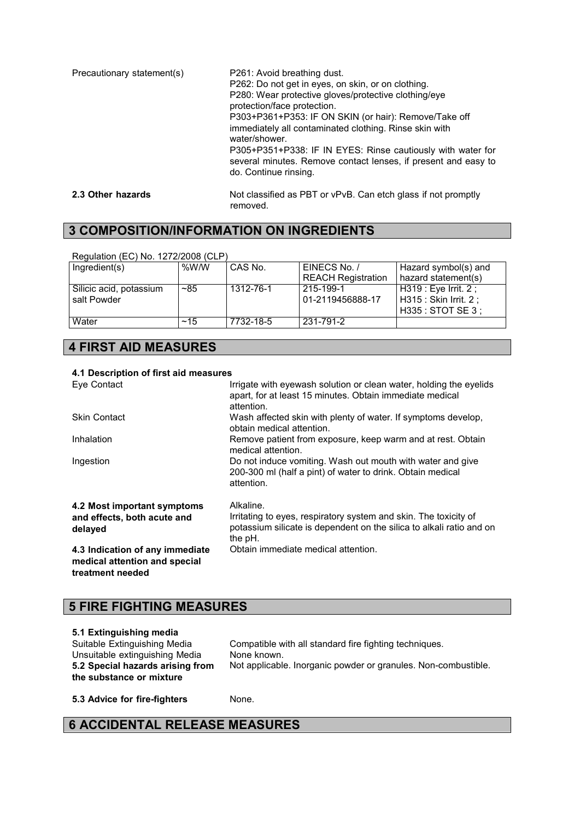| Precautionary statement(s) | P261: Avoid breathing dust.<br>P262: Do not get in eyes, on skin, or on clothing.<br>P280: Wear protective gloves/protective clothing/eye<br>protection/face protection.<br>P303+P361+P353: IF ON SKIN (or hair): Remove/Take off<br>immediately all contaminated clothing. Rinse skin with<br>water/shower.<br>P305+P351+P338: IF IN EYES: Rinse cautiously with water for<br>several minutes. Remove contact lenses, if present and easy to<br>do. Continue rinsing. |
|----------------------------|------------------------------------------------------------------------------------------------------------------------------------------------------------------------------------------------------------------------------------------------------------------------------------------------------------------------------------------------------------------------------------------------------------------------------------------------------------------------|
| 2.3 Other hazards          | Not classified as PBT or vPvB. Can etch glass if not promptly                                                                                                                                                                                                                                                                                                                                                                                                          |

# **3 COMPOSITION/INFORMATION ON INGREDIENTS**

removed.

| Requiation (EC) No. 1272/2008 (CLP) |          |           |                           |                        |
|-------------------------------------|----------|-----------|---------------------------|------------------------|
| Ingredient(s)                       | %W/W     | CAS No.   | EINECS No. /              | Hazard symbol(s) and   |
|                                     |          |           | <b>REACH Registration</b> | hazard statement(s)    |
| Silicic acid, potassium             | $~1$ –85 | 1312-76-1 | 215-199-1                 | H319 : Eye Irrit. 2 ;  |
| salt Powder                         |          |           | 01-2119456888-17          | H315 : Skin Irrit. 2 ; |
|                                     |          |           |                           | H335 : STOT SE 3 :     |
| Water                               | ~15      | 7732-18-5 | 231-791-2                 |                        |

 $H = H = (E_0)$  No. 1272/2008 (CLP)

### **4 FIRST AID MEASURES**

#### **4.1 Description of first aid measures** Irrigate with eyewash solution or clean water, holding the eyelids apart, for at least 15 minutes. Obtain immediate medical attention. Skin Contact Wash affected skin with plenty of water. If symptoms develop, obtain medical attention. Inhalation **Remove patient from exposure, keep warm and at rest. Obtain** medical attention. Ingestion Do not induce vomiting. Wash out mouth with water and give 200-300 ml (half a pint) of water to drink. Obtain medical attention. **4.2 Most important symptoms and effects, both acute and delayed 4.3 Indication of any immediate medical attention and special treatment needed** Alkaline. Irritating to eyes, respiratory system and skin. The toxicity of potassium silicate is dependent on the silica to alkali ratio and on the pH. Obtain immediate medical attention.

### **5 FIRE FIGHTING MEASURES**

#### **5.1 Extinguishing media** Compatible with all standard fire fighting techniques.<br>None known. Unsuitable extinguishing Media **5.2 Special hazards arising from the substance or mixture** Not applicable. Inorganic powder or granules. Non-combustible.

**5.3 Advice for fire-fighters** None.

# **6 ACCIDENTAL RELEASE MEASURES**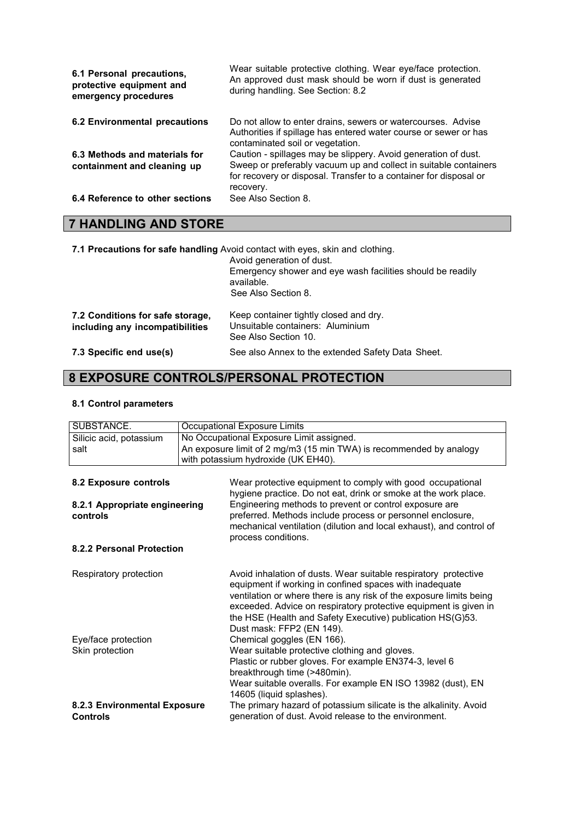| 6.1 Personal precautions,<br>protective equipment and<br>emergency procedures | Wear suitable protective clothing. Wear eye/face protection.<br>An approved dust mask should be worn if dust is generated<br>during handling. See Section: 8.2       |
|-------------------------------------------------------------------------------|----------------------------------------------------------------------------------------------------------------------------------------------------------------------|
| 6.2 Environmental precautions                                                 | Do not allow to enter drains, sewers or watercourses. Advise<br>Authorities if spillage has entered water course or sewer or has<br>contaminated soil or vegetation. |
| 6.3 Methods and materials for                                                 | Caution - spillages may be slippery. Avoid generation of dust.                                                                                                       |
| containment and cleaning up                                                   | Sweep or preferably vacuum up and collect in suitable containers<br>for recovery or disposal. Transfer to a container for disposal or<br>recovery.                   |
| 6.4 Reference to other sections                                               | See Also Section 8.                                                                                                                                                  |
|                                                                               |                                                                                                                                                                      |

# **7 HANDLING AND STORE**

|  |  |  |  | 7.1 Precautions for safe handling Avoid contact with eyes, skin and clothing. |  |
|--|--|--|--|-------------------------------------------------------------------------------|--|
|--|--|--|--|-------------------------------------------------------------------------------|--|

|                                                                     | Avoid generation of dust.<br>Emergency shower and eye wash facilities should be readily<br>available.<br>See Also Section 8. |
|---------------------------------------------------------------------|------------------------------------------------------------------------------------------------------------------------------|
| 7.2 Conditions for safe storage.<br>including any incompatibilities | Keep container tightly closed and dry.<br>Unsuitable containers: Aluminium<br>See Also Section 10.                           |
| 7.3 Specific end use(s)                                             | See also Annex to the extended Safety Data Sheet.                                                                            |

# **8 EXPOSURE CONTROLS/PERSONAL PROTECTION**

#### **8.1 Control parameters**

| SUBSTANCE.                                      |                                                                     | <b>Occupational Exposure Limits</b>                                                                                                                                                                                                                                                                                                                              |
|-------------------------------------------------|---------------------------------------------------------------------|------------------------------------------------------------------------------------------------------------------------------------------------------------------------------------------------------------------------------------------------------------------------------------------------------------------------------------------------------------------|
| Silicic acid, potassium                         | No Occupational Exposure Limit assigned.                            |                                                                                                                                                                                                                                                                                                                                                                  |
| salt                                            | An exposure limit of 2 mg/m3 (15 min TWA) is recommended by analogy |                                                                                                                                                                                                                                                                                                                                                                  |
|                                                 |                                                                     | with potassium hydroxide (UK EH40).                                                                                                                                                                                                                                                                                                                              |
|                                                 |                                                                     |                                                                                                                                                                                                                                                                                                                                                                  |
| 8.2 Exposure controls                           |                                                                     | Wear protective equipment to comply with good occupational<br>hygiene practice. Do not eat, drink or smoke at the work place.                                                                                                                                                                                                                                    |
| 8.2.1 Appropriate engineering<br>controls       |                                                                     | Engineering methods to prevent or control exposure are<br>preferred. Methods include process or personnel enclosure,<br>mechanical ventilation (dilution and local exhaust), and control of<br>process conditions.                                                                                                                                               |
| 8.2.2 Personal Protection                       |                                                                     |                                                                                                                                                                                                                                                                                                                                                                  |
| Respiratory protection                          |                                                                     | Avoid inhalation of dusts. Wear suitable respiratory protective<br>equipment if working in confined spaces with inadequate<br>ventilation or where there is any risk of the exposure limits being<br>exceeded. Advice on respiratory protective equipment is given in<br>the HSE (Health and Safety Executive) publication HS(G)53.<br>Dust mask: FFP2 (EN 149). |
| Eye/face protection<br>Skin protection          |                                                                     | Chemical goggles (EN 166).<br>Wear suitable protective clothing and gloves.<br>Plastic or rubber gloves. For example EN374-3, level 6<br>breakthrough time (>480min).                                                                                                                                                                                            |
| 8.2.3 Environmental Exposure<br><b>Controls</b> |                                                                     | Wear suitable overalls. For example EN ISO 13982 (dust), EN<br>14605 (liquid splashes).<br>The primary hazard of potassium silicate is the alkalinity. Avoid<br>generation of dust. Avoid release to the environment.                                                                                                                                            |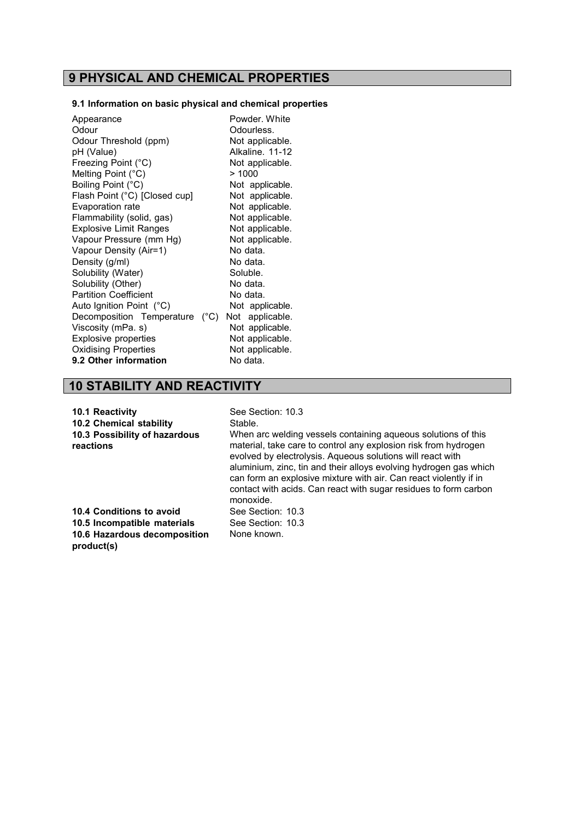## **9 PHYSICAL AND CHEMICAL PROPERTIES**

#### **9.1 Information on basic physical and chemical properties**

Appearance **Powder. White**<br>
Odour<br>
Odourless. Odour Threshold (ppm)<br>pH (Value) Freezing Point (°C) <br>
Melting Point (°C)  $> 1000$ Melting Point (°C)  $\rightarrow$  1000<br>Boiling Point (°C) Not applicable. Boiling Point  $(\degree C)$  Not applicable.<br>Flash Point  $(\degree C)$  [Closed cup] Not applicable. Flash Point (°C) [Closed cup] Not applicable.<br>
Evaporation rate Not applicable. Evaporation rate **Not applicable.**<br>Flammability (solid, gas) **Not applicable.** Flammability (solid, gas) Not applicable.<br>
Explosive Limit Ranges Not applicable. Explosive Limit Ranges<br>
Vapour Pressure (mm Hg) Not applicable. Vapour Pressure (mm Hg) Not appli<br>Vapour Density (Air=1) No data. Vapour Density (Air=1) No data.<br>Density (q/ml) No data. Density (g/ml) No data.<br>Solubility (Water) Soluble. Solubility (Water) Soluble.<br>
Solubility (Other) Soluble.<br>
No data. Solubility (Other) No data.<br>
Partition Coefficient No data. Partition Coefficient No data.<br>Auto Ignition Point (°C) Not applicable. Auto Ignition Point  $(^{\circ}C)$ Decomposition Temperature (°C) Not applicable.<br>Viscosity (mPa. s) Not applicable. Viscosity (mPa. s) Not applicable.<br>
Explosive properties Not applicable. Explosive properties Not applicable.<br>
Oxidising Properties Not applicable. Oxidising Properties **Not appli**<br> **9.2 Other information** No data. **9.2 Other information** 

Odourless.<br>Not applicable. Alkaline. 11-12<br>Not applicable.

### **10 STABILITY AND REACTIVITY**

| 10.1 Reactivity<br>10.2 Chemical stability<br>10.3 Possibility of hazardous<br>reactions              | See Section: 10.3<br>Stable.<br>When arc welding vessels containing aqueous solutions of this<br>material, take care to control any explosion risk from hydrogen<br>evolved by electrolysis. Aqueous solutions will react with<br>aluminium, zinc, tin and their alloys evolving hydrogen gas which<br>can form an explosive mixture with air. Can react violently if in<br>contact with acids. Can react with sugar residues to form carbon<br>monoxide. |
|-------------------------------------------------------------------------------------------------------|-----------------------------------------------------------------------------------------------------------------------------------------------------------------------------------------------------------------------------------------------------------------------------------------------------------------------------------------------------------------------------------------------------------------------------------------------------------|
| 10.4 Conditions to avoid<br>10.5 Incompatible materials<br>10.6 Hazardous decomposition<br>product(s) | See Section: 10.3<br>See Section: 10.3<br>None known.                                                                                                                                                                                                                                                                                                                                                                                                     |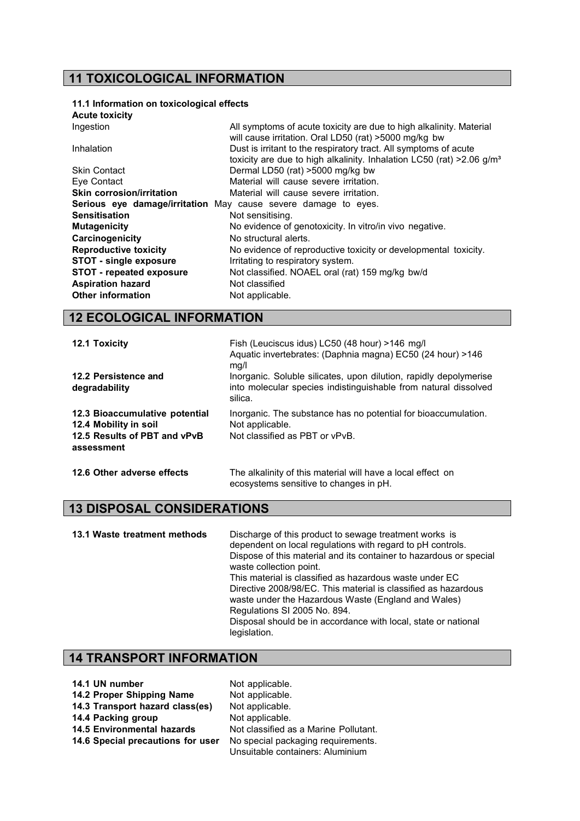# **11 TOXICOLOGICAL INFORMATION**

### **11.1 Information on toxicological effects**

| <b>Acute toxicity</b>                                          |                                                                                                                                                         |
|----------------------------------------------------------------|---------------------------------------------------------------------------------------------------------------------------------------------------------|
| Ingestion                                                      | All symptoms of acute toxicity are due to high alkalinity. Material<br>will cause irritation. Oral LD50 (rat) >5000 mg/kg bw                            |
| Inhalation                                                     | Dust is irritant to the respiratory tract. All symptoms of acute<br>toxicity are due to high alkalinity. Inhalation LC50 (rat) $>2.06$ g/m <sup>3</sup> |
| <b>Skin Contact</b>                                            | Dermal LD50 (rat) >5000 mg/kg bw                                                                                                                        |
| Eye Contact                                                    | Material will cause severe irritation.                                                                                                                  |
| <b>Skin corrosion/irritation</b>                               | Material will cause severe irritation.                                                                                                                  |
| Serious eye damage/irritation May cause severe damage to eyes. |                                                                                                                                                         |
| <b>Sensitisation</b>                                           | Not sensitising.                                                                                                                                        |
| <b>Mutagenicity</b>                                            | No evidence of genotoxicity. In vitro/in vivo negative.                                                                                                 |
| Carcinogenicity                                                | No structural alerts.                                                                                                                                   |
| <b>Reproductive toxicity</b>                                   | No evidence of reproductive toxicity or developmental toxicity.                                                                                         |
| STOT - single exposure                                         | Irritating to respiratory system.                                                                                                                       |
| STOT - repeated exposure                                       | Not classified. NOAEL oral (rat) 159 mg/kg bw/d                                                                                                         |
| <b>Aspiration hazard</b>                                       | Not classified                                                                                                                                          |
| <b>Other information</b>                                       | Not applicable.                                                                                                                                         |
|                                                                |                                                                                                                                                         |

# **12 ECOLOGICAL INFORMATION**

| 12.1 Toxicity<br>12.2 Persistence and<br>degradability                                                | Fish (Leuciscus idus) LC50 (48 hour) >146 mg/l<br>Aquatic invertebrates: (Daphnia magna) EC50 (24 hour) >146<br>mg/l<br>Inorganic. Soluble silicates, upon dilution, rapidly depolymerise<br>into molecular species indistinguishable from natural dissolved<br>silica. |
|-------------------------------------------------------------------------------------------------------|-------------------------------------------------------------------------------------------------------------------------------------------------------------------------------------------------------------------------------------------------------------------------|
| 12.3 Bioaccumulative potential<br>12.4 Mobility in soil<br>12.5 Results of PBT and vPvB<br>assessment | Inorganic. The substance has no potential for bioaccumulation.<br>Not applicable.<br>Not classified as PBT or vPvB.                                                                                                                                                     |
| 12.6 Other adverse effects                                                                            | The alkalinity of this material will have a local effect on<br>ecosystems sensitive to changes in pH.                                                                                                                                                                   |

## **13 DISPOSAL CONSIDERATIONS**

| waste under the Hazardous Waste (England and Wales)<br>Regulations SI 2005 No. 894.<br>Disposal should be in accordance with local, state or national<br>legislation. | 13.1 Waste treatment methods | Discharge of this product to sewage treatment works is<br>dependent on local regulations with regard to pH controls.<br>Dispose of this material and its container to hazardous or special<br>waste collection point.<br>This material is classified as hazardous waste under EC<br>Directive 2008/98/EC. This material is classified as hazardous |
|-----------------------------------------------------------------------------------------------------------------------------------------------------------------------|------------------------------|----------------------------------------------------------------------------------------------------------------------------------------------------------------------------------------------------------------------------------------------------------------------------------------------------------------------------------------------------|
|-----------------------------------------------------------------------------------------------------------------------------------------------------------------------|------------------------------|----------------------------------------------------------------------------------------------------------------------------------------------------------------------------------------------------------------------------------------------------------------------------------------------------------------------------------------------------|

# **14 TRANSPORT INFORMATION**

| 14.1 UN number<br>14.2 Proper Shipping Name | Not applicable.<br>Not applicable.                                     |
|---------------------------------------------|------------------------------------------------------------------------|
| 14.3 Transport hazard class(es)             | Not applicable.                                                        |
| 14.4 Packing group                          | Not applicable.                                                        |
| <b>14.5 Environmental hazards</b>           | Not classified as a Marine Pollutant.                                  |
| 14.6 Special precautions for user           | No special packaging requirements.<br>Unsuitable containers: Aluminium |